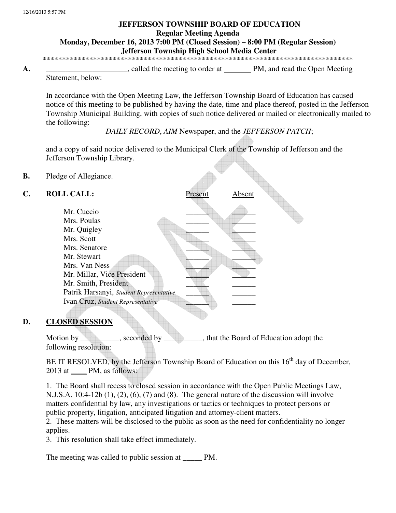## **JEFFERSON TOWNSHIP BOARD OF EDUCATION Regular Meeting Agenda Monday, December 16, 2013 7:00 PM (Closed Session) – 8:00 PM (Regular Session)**

 **Jefferson Township High School Media Center** 

\*\*\*\*\*\*\*\*\*\*\*\*\*\*\*\*\*\*\*\*\*\*\*\*\*\*\*\*\*\*\*\*\*\*\*\*\*\*\*\*\*\*\*\*\*\*\*\*\*\*\*\*\*\*\*\*\*\*\*\*\*\*\*\*\*\*\*\*\*\*\*\*\*\*\*\*\*\*\*\*

**A.** \_\_\_\_\_\_\_\_\_\_\_\_\_\_\_\_\_\_\_\_\_, called the meeting to order at PM, and read the Open Meeting

Statement, below:

In accordance with the Open Meeting Law, the Jefferson Township Board of Education has caused notice of this meeting to be published by having the date, time and place thereof, posted in the Jefferson Township Municipal Building, with copies of such notice delivered or mailed or electronically mailed to the following:

*DAILY RECORD*, *AIM* Newspaper, and the *JEFFERSON PATCH*;

and a copy of said notice delivered to the Municipal Clerk of the Township of Jefferson and the Jefferson Township Library.

**B.** Pledge of Allegiance.

| C. | <b>ROLL CALL:</b>                       | Present | Absent |  |
|----|-----------------------------------------|---------|--------|--|
|    | Mr. Cuccio                              |         |        |  |
|    | Mrs. Poulas                             |         |        |  |
|    | Mr. Quigley                             |         |        |  |
|    | Mrs. Scott                              |         |        |  |
|    | Mrs. Senatore                           |         |        |  |
|    | Mr. Stewart                             |         |        |  |
|    | Mrs. Van Ness                           |         |        |  |
|    | Mr. Millar, Vice President              |         |        |  |
|    | Mr. Smith, President                    |         |        |  |
|    | Patrik Harsanyi, Student Representative |         |        |  |
|    | Ivan Cruz, Student Representative       |         |        |  |
|    |                                         |         |        |  |

## **D. CLOSED SESSION**

Motion by seconded by that the Board of Education adopt the following resolution:

BE IT RESOLVED, by the Jefferson Township Board of Education on this 16<sup>th</sup> day of December, 2013 at \_\_\_\_ PM, as follows:

 1. The Board shall recess to closed session in accordance with the Open Public Meetings Law, N.J.S.A.  $10:4-12b(1)$ ,  $(2)$ ,  $(6)$ ,  $(7)$  and  $(8)$ . The general nature of the discussion will involve matters confidential by law, any investigations or tactics or techniques to protect persons or public property, litigation, anticipated litigation and attorney-client matters.

 2. These matters will be disclosed to the public as soon as the need for confidentiality no longer applies.

3. This resolution shall take effect immediately.

The meeting was called to public session at \_\_\_\_\_\_ PM.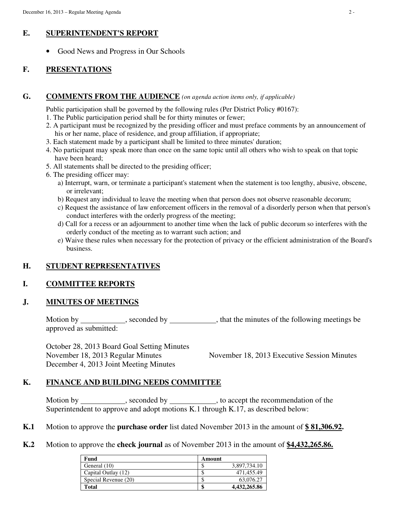## **E. SUPERINTENDENT'S REPORT**

• Good News and Progress in Our Schools

# **F. PRESENTATIONS**

## **G. COMMENTS FROM THE AUDIENCE** *(on agenda action items only, if applicable)*

Public participation shall be governed by the following rules (Per District Policy #0167):

- 1. The Public participation period shall be for thirty minutes or fewer;
- 2. A participant must be recognized by the presiding officer and must preface comments by an announcement of his or her name, place of residence, and group affiliation, if appropriate;
- 3. Each statement made by a participant shall be limited to three minutes' duration;
- 4. No participant may speak more than once on the same topic until all others who wish to speak on that topic have been heard;
- 5. All statements shall be directed to the presiding officer;
- 6. The presiding officer may:
	- a) Interrupt, warn, or terminate a participant's statement when the statement is too lengthy, abusive, obscene, or irrelevant;
	- b) Request any individual to leave the meeting when that person does not observe reasonable decorum;
	- c) Request the assistance of law enforcement officers in the removal of a disorderly person when that person's conduct interferes with the orderly progress of the meeting;
	- d) Call for a recess or an adjournment to another time when the lack of public decorum so interferes with the orderly conduct of the meeting as to warrant such action; and
	- e) Waive these rules when necessary for the protection of privacy or the efficient administration of the Board's business.

## **H. STUDENT REPRESENTATIVES**

## **I. COMMITTEE REPORTS**

## **J. MINUTES OF MEETINGS**

Motion by seconded by seconded by seconded by seconded by settled with the minutes of the following meetings be approved as submitted:

October 28, 2013 Board Goal Setting Minutes November 18, 2013 Regular Minutes November 18, 2013 Executive Session Minutes December 4, 2013 Joint Meeting Minutes

## **K. FINANCE AND BUILDING NEEDS COMMITTEE**

Motion by seconded by seconded by seconded by seconded by seconded by seconded by seconded by seconded by seconded by seconded by seconded by seconded by seconded by seconded by seconded by seconded by seconded by seconded Superintendent to approve and adopt motions K.1 through K.17, as described below:

- **K.1** Motion to approve the **purchase order** list dated November 2013 in the amount of **\$ 81,306.92.**
- **K.2** Motion to approve the **check journal** as of November 2013 in the amount of **\$4,432,265.86.**

| Fund                 | Amount |              |
|----------------------|--------|--------------|
| General (10)         |        | 3,897,734.10 |
| Capital Outlay (12)  |        | 471.455.49   |
| Special Revenue (20) |        | 63,076.27    |
| <b>Total</b>         |        | 4,432,265.86 |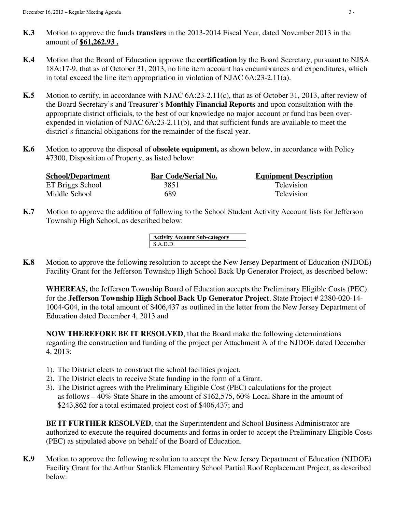- **K.3** Motion to approve the funds **transfers** in the 2013-2014 Fiscal Year, dated November 2013 in the amount of **\$61,262.93 .**
- **K.4** Motion that the Board of Education approve the **certification** by the Board Secretary, pursuant to NJSA 18A:17-9, that as of October 31, 2013, no line item account has encumbrances and expenditures, which in total exceed the line item appropriation in violation of NJAC 6A:23-2.11(a).
- **K.5** Motion to certify, in accordance with NJAC 6A:23-2.11(c), that as of October 31, 2013, after review of the Board Secretary's and Treasurer's **Monthly Financial Reports** and upon consultation with the appropriate district officials, to the best of our knowledge no major account or fund has been overexpended in violation of NJAC 6A:23-2.11(b), and that sufficient funds are available to meet the district's financial obligations for the remainder of the fiscal year.
- **K.6** Motion to approve the disposal of **obsolete equipment,** as shown below, in accordance with Policy #7300, Disposition of Property, as listed below:

| <b>School/Department</b> | <b>Bar Code/Serial No.</b> | <b>Equipment Description</b> |
|--------------------------|----------------------------|------------------------------|
| ET Briggs School         | 3851                       | Television                   |
| Middle School            | 689                        | Television                   |

**K.7** Motion to approve the addition of following to the School Student Activity Account lists for Jefferson Township High School, as described below:

> **Activity Account Sub-category**  S.A.D.D.

**K.8** Motion to approve the following resolution to accept the New Jersey Department of Education (NJDOE) Facility Grant for the Jefferson Township High School Back Up Generator Project, as described below:

**WHEREAS,** the Jefferson Township Board of Education accepts the Preliminary Eligible Costs (PEC) for the **Jefferson Township High School Back Up Generator Project**, State Project # 2380-020-14- 1004-G04, in the total amount of \$406,437 as outlined in the letter from the New Jersey Department of Education dated December 4, 2013 and

**NOW THEREFORE BE IT RESOLVED**, that the Board make the following determinations regarding the construction and funding of the project per Attachment A of the NJDOE dated December 4, 2013:

- 1). The District elects to construct the school facilities project.
- 2). The District elects to receive State funding in the form of a Grant.
- 3). The District agrees with the Preliminary Eligible Cost (PEC) calculations for the project as follows – 40% State Share in the amount of \$162,575, 60% Local Share in the amount of \$243,862 for a total estimated project cost of \$406,437; and

**BE IT FURTHER RESOLVED**, that the Superintendent and School Business Administrator are authorized to execute the required documents and forms in order to accept the Preliminary Eligible Costs (PEC) as stipulated above on behalf of the Board of Education.

**K.9** Motion to approve the following resolution to accept the New Jersey Department of Education (NJDOE) Facility Grant for the Arthur Stanlick Elementary School Partial Roof Replacement Project, as described below: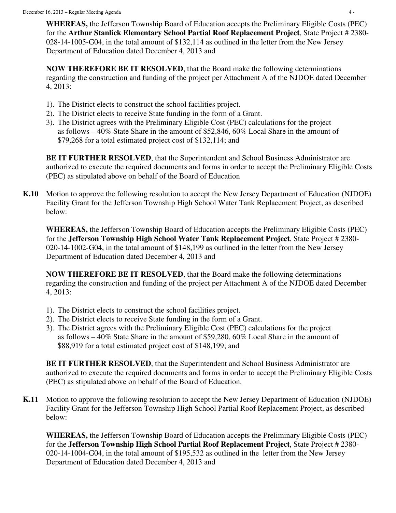**WHEREAS,** the Jefferson Township Board of Education accepts the Preliminary Eligible Costs (PEC) for the **Arthur Stanlick Elementary School Partial Roof Replacement Project**, State Project # 2380- 028-14-1005-G04, in the total amount of \$132,114 as outlined in the letter from the New Jersey Department of Education dated December 4, 2013 and

**NOW THEREFORE BE IT RESOLVED**, that the Board make the following determinations regarding the construction and funding of the project per Attachment A of the NJDOE dated December 4, 2013:

- 1). The District elects to construct the school facilities project.
- 2). The District elects to receive State funding in the form of a Grant.
- 3). The District agrees with the Preliminary Eligible Cost (PEC) calculations for the project as follows – 40% State Share in the amount of \$52,846, 60% Local Share in the amount of \$79,268 for a total estimated project cost of \$132,114; and

 **BE IT FURTHER RESOLVED**, that the Superintendent and School Business Administrator are authorized to execute the required documents and forms in order to accept the Preliminary Eligible Costs (PEC) as stipulated above on behalf of the Board of Education

**K.10** Motion to approve the following resolution to accept the New Jersey Department of Education (NJDOE) Facility Grant for the Jefferson Township High School Water Tank Replacement Project, as described below:

**WHEREAS,** the Jefferson Township Board of Education accepts the Preliminary Eligible Costs (PEC) for the **Jefferson Township High School Water Tank Replacement Project**, State Project # 2380- 020-14-1002-G04, in the total amount of \$148,199 as outlined in the letter from the New Jersey Department of Education dated December 4, 2013 and

**NOW THEREFORE BE IT RESOLVED**, that the Board make the following determinations regarding the construction and funding of the project per Attachment A of the NJDOE dated December 4, 2013:

- 1). The District elects to construct the school facilities project.
- 2). The District elects to receive State funding in the form of a Grant.
- 3). The District agrees with the Preliminary Eligible Cost (PEC) calculations for the project as follows – 40% State Share in the amount of \$59,280, 60% Local Share in the amount of \$88,919 for a total estimated project cost of \$148,199; and

**BE IT FURTHER RESOLVED**, that the Superintendent and School Business Administrator are authorized to execute the required documents and forms in order to accept the Preliminary Eligible Costs (PEC) as stipulated above on behalf of the Board of Education.

**K.11** Motion to approve the following resolution to accept the New Jersey Department of Education (NJDOE) Facility Grant for the Jefferson Township High School Partial Roof Replacement Project, as described below:

**WHEREAS,** the Jefferson Township Board of Education accepts the Preliminary Eligible Costs (PEC) for the **Jefferson Township High School Partial Roof Replacement Project**, State Project # 2380- 020-14-1004-G04, in the total amount of \$195,532 as outlined in the letter from the New Jersey Department of Education dated December 4, 2013 and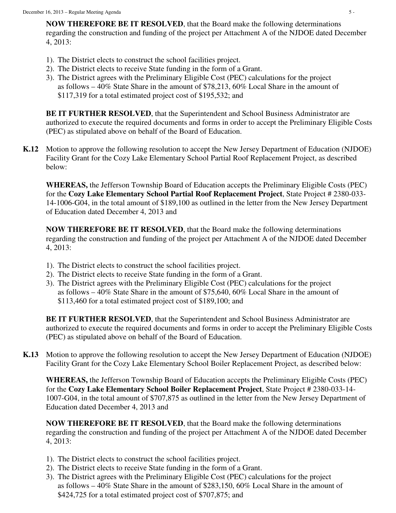**NOW THEREFORE BE IT RESOLVED**, that the Board make the following determinations regarding the construction and funding of the project per Attachment A of the NJDOE dated December 4, 2013:

- 1). The District elects to construct the school facilities project.
- 2). The District elects to receive State funding in the form of a Grant.
- 3). The District agrees with the Preliminary Eligible Cost (PEC) calculations for the project as follows  $-40\%$  State Share in the amount of \$78,213, 60% Local Share in the amount of \$117,319 for a total estimated project cost of \$195,532; and

**BE IT FURTHER RESOLVED**, that the Superintendent and School Business Administrator are authorized to execute the required documents and forms in order to accept the Preliminary Eligible Costs (PEC) as stipulated above on behalf of the Board of Education.

**K.12** Motion to approve the following resolution to accept the New Jersey Department of Education (NJDOE) Facility Grant for the Cozy Lake Elementary School Partial Roof Replacement Project, as described below:

**WHEREAS,** the Jefferson Township Board of Education accepts the Preliminary Eligible Costs (PEC) for the **Cozy Lake Elementary School Partial Roof Replacement Project**, State Project # 2380-033- 14-1006-G04, in the total amount of \$189,100 as outlined in the letter from the New Jersey Department of Education dated December 4, 2013 and

**NOW THEREFORE BE IT RESOLVED**, that the Board make the following determinations regarding the construction and funding of the project per Attachment A of the NJDOE dated December 4, 2013:

- 1). The District elects to construct the school facilities project.
- 2). The District elects to receive State funding in the form of a Grant.
- 3). The District agrees with the Preliminary Eligible Cost (PEC) calculations for the project as follows – 40% State Share in the amount of \$75,640, 60% Local Share in the amount of \$113,460 for a total estimated project cost of \$189,100; and

 **BE IT FURTHER RESOLVED**, that the Superintendent and School Business Administrator are authorized to execute the required documents and forms in order to accept the Preliminary Eligible Costs (PEC) as stipulated above on behalf of the Board of Education.

**K.13** Motion to approve the following resolution to accept the New Jersey Department of Education (NJDOE) Facility Grant for the Cozy Lake Elementary School Boiler Replacement Project, as described below:

**WHEREAS,** the Jefferson Township Board of Education accepts the Preliminary Eligible Costs (PEC) for the **Cozy Lake Elementary School Boiler Replacement Project**, State Project # 2380-033-14- 1007-G04, in the total amount of \$707,875 as outlined in the letter from the New Jersey Department of Education dated December 4, 2013 and

**NOW THEREFORE BE IT RESOLVED**, that the Board make the following determinations regarding the construction and funding of the project per Attachment A of the NJDOE dated December 4, 2013:

- 1). The District elects to construct the school facilities project.
- 2). The District elects to receive State funding in the form of a Grant.
- 3). The District agrees with the Preliminary Eligible Cost (PEC) calculations for the project as follows – 40% State Share in the amount of \$283,150, 60% Local Share in the amount of \$424,725 for a total estimated project cost of \$707,875; and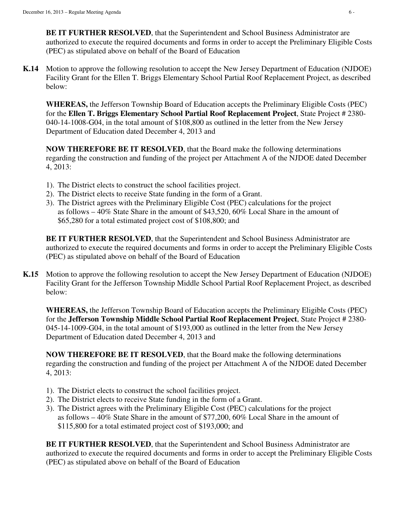**BE IT FURTHER RESOLVED**, that the Superintendent and School Business Administrator are authorized to execute the required documents and forms in order to accept the Preliminary Eligible Costs (PEC) as stipulated above on behalf of the Board of Education

**K.14** Motion to approve the following resolution to accept the New Jersey Department of Education (NJDOE) Facility Grant for the Ellen T. Briggs Elementary School Partial Roof Replacement Project, as described below:

**WHEREAS,** the Jefferson Township Board of Education accepts the Preliminary Eligible Costs (PEC) for the **Ellen T. Briggs Elementary School Partial Roof Replacement Project**, State Project # 2380- 040-14-1008-G04, in the total amount of \$108,800 as outlined in the letter from the New Jersey Department of Education dated December 4, 2013 and

**NOW THEREFORE BE IT RESOLVED**, that the Board make the following determinations regarding the construction and funding of the project per Attachment A of the NJDOE dated December 4, 2013:

- 1). The District elects to construct the school facilities project.
- 2). The District elects to receive State funding in the form of a Grant.
- 3). The District agrees with the Preliminary Eligible Cost (PEC) calculations for the project as follows – 40% State Share in the amount of \$43,520, 60% Local Share in the amount of \$65,280 for a total estimated project cost of \$108,800; and

 **BE IT FURTHER RESOLVED**, that the Superintendent and School Business Administrator are authorized to execute the required documents and forms in order to accept the Preliminary Eligible Costs (PEC) as stipulated above on behalf of the Board of Education

**K.15** Motion to approve the following resolution to accept the New Jersey Department of Education (NJDOE) Facility Grant for the Jefferson Township Middle School Partial Roof Replacement Project, as described below:

**WHEREAS,** the Jefferson Township Board of Education accepts the Preliminary Eligible Costs (PEC) for the **Jefferson Township Middle School Partial Roof Replacement Project**, State Project # 2380- 045-14-1009-G04, in the total amount of \$193,000 as outlined in the letter from the New Jersey Department of Education dated December 4, 2013 and

**NOW THEREFORE BE IT RESOLVED**, that the Board make the following determinations regarding the construction and funding of the project per Attachment A of the NJDOE dated December 4, 2013:

- 1). The District elects to construct the school facilities project.
- 2). The District elects to receive State funding in the form of a Grant.
- 3). The District agrees with the Preliminary Eligible Cost (PEC) calculations for the project as follows – 40% State Share in the amount of \$77,200, 60% Local Share in the amount of \$115,800 for a total estimated project cost of \$193,000; and

**BE IT FURTHER RESOLVED, that the Superintendent and School Business Administrator are** authorized to execute the required documents and forms in order to accept the Preliminary Eligible Costs (PEC) as stipulated above on behalf of the Board of Education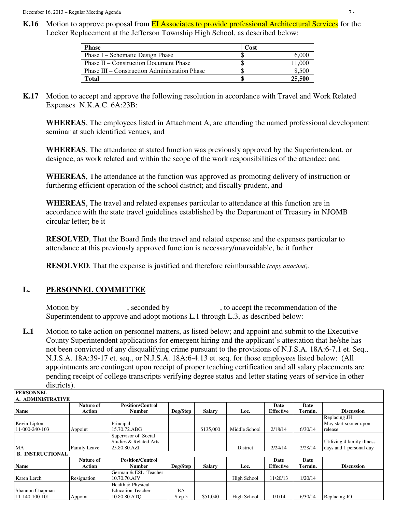**K.16** Motion to approve proposal from **EI** Associates to provide professional Architectural Services for the Locker Replacement at the Jefferson Township High School, as described below:

| <b>Phase</b>                                         | Cost |        |
|------------------------------------------------------|------|--------|
| Phase I – Schematic Design Phase                     |      | 6,000  |
| Phase II – Construction Document Phase               |      | 11.000 |
| <b>Phase III – Construction Administration Phase</b> |      | 8.500  |
| <b>Total</b>                                         |      | 25,500 |

**K.17** Motion to accept and approve the following resolution in accordance with Travel and Work Related Expenses N.K.A.C. 6A:23B:

**WHEREAS**, The employees listed in Attachment A, are attending the named professional development seminar at such identified venues, and

**WHEREAS**, The attendance at stated function was previously approved by the Superintendent, or designee, as work related and within the scope of the work responsibilities of the attendee; and

**WHEREAS**, The attendance at the function was approved as promoting delivery of instruction or furthering efficient operation of the school district; and fiscally prudent, and

**WHEREAS**, The travel and related expenses particular to attendance at this function are in accordance with the state travel guidelines established by the Department of Treasury in NJOMB circular letter; be it

**RESOLVED**, That the Board finds the travel and related expense and the expenses particular to attendance at this previously approved function is necessary/unavoidable, be it further

**RESOLVED**, That the expense is justified and therefore reimbursable *(copy attached).* 

## **L. PERSONNEL COMMITTEE**

 **PERSONNEL** 

Motion by \_\_\_\_\_\_\_\_\_\_\_, seconded by \_\_\_\_\_\_\_\_\_\_\_, to accept the recommendation of the Superintendent to approve and adopt motions L.1 through L.3, as described below:

**L.1** Motion to take action on personnel matters, as listed below; and appoint and submit to the Executive County Superintendent applications for emergent hiring and the applicant's attestation that he/she has not been convicted of any disqualifying crime pursuant to the provisions of N.J.S.A. 18A:6-7.1 et. Seq., N.J.S.A. 18A:39-17 et. seq., or N.J.S.A. 18A:6-4.13 et. seq. for those employees listed below: (All appointments are contingent upon receipt of proper teaching certification and all salary placements are pending receipt of college transcripts verifying degree status and letter stating years of service in other districts).

| .                       |                  |                          |           |               |               |                  |         |                            |
|-------------------------|------------------|--------------------------|-----------|---------------|---------------|------------------|---------|----------------------------|
| A. ADMINISTRATIVE       |                  |                          |           |               |               |                  |         |                            |
|                         | <b>Nature of</b> | <b>Position/Control</b>  |           |               |               | Date             | Date    |                            |
| <b>Name</b>             | Action           | <b>Number</b>            | Deg/Step  | <b>Salary</b> | Loc.          | <b>Effective</b> | Termin. | <b>Discussion</b>          |
|                         |                  |                          |           |               |               |                  |         | Replacing JH               |
| Kevin Lipton            |                  | Principal                |           |               |               |                  |         | May start sooner upon      |
| 11-000-240-103          | Appoint          | 15.70.72.ABG             |           | \$135,000     | Middle School | 2/18/14          | 6/30/14 | release                    |
|                         |                  | Supervisor of Social     |           |               |               |                  |         |                            |
|                         |                  | Studies & Related Arts   |           |               |               |                  |         | Utilizing 4 family illness |
| MA                      | Family Leave     | 25.80.80.AZI             |           |               | District      | 2/24/14          | 2/28/14 | days and 1 personal day    |
| <b>B. INSTRUCTIONAL</b> |                  |                          |           |               |               |                  |         |                            |
|                         | Nature of        | <b>Position/Control</b>  |           |               |               | Date             | Date    |                            |
| <b>Name</b>             | Action           | <b>Number</b>            | Deg/Step  | <b>Salary</b> | Loc.          | <b>Effective</b> | Termin. | <b>Discussion</b>          |
|                         |                  | German & ESL Teacher     |           |               |               |                  |         |                            |
| Karen Lerch             | Resignation      | 10.70.70.AJV             |           |               | High School   | 11/20/13         | 1/20/14 |                            |
|                         |                  | Health & Physical        |           |               |               |                  |         |                            |
| Shannon Chapman         |                  | <b>Education Teacher</b> | <b>BA</b> |               |               |                  |         |                            |
| 11-140-100-101          | Appoint          | 10.80.80.ATO             | Step 5    | \$51,040      | High School   | 1/1/14           | 6/30/14 | Replacing JO               |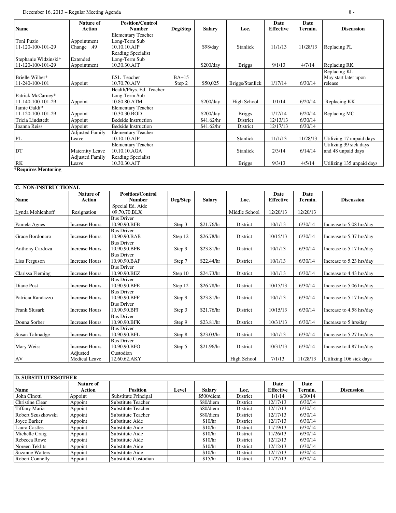### December 16, 2013 – Regular Meeting Agenda 8 -

|                      | <b>Nature of</b>       | <b>Position/Control</b>    |          |               |                 | Date             | Date     |                           |
|----------------------|------------------------|----------------------------|----------|---------------|-----------------|------------------|----------|---------------------------|
| <b>Name</b>          | <b>Action</b>          | <b>Number</b>              | Deg/Step | <b>Salary</b> | Loc.            | <b>Effective</b> | Termin.  | <b>Discussion</b>         |
|                      |                        | <b>Elementary Teacher</b>  |          |               |                 |                  |          |                           |
| Toni Puzio           | Appointment            | Long-Term Sub              |          |               |                 |                  |          |                           |
| 11-120-100-101-29    | Change .49             | 10.10.10.AJP               |          | \$98/day      | <b>Stanlick</b> | 11/1/13          | 11/28/13 | Replacing PL              |
|                      |                        | Reading Specialist         |          |               |                 |                  |          |                           |
| Stephanie Widzinski* | Extended               | Long-Term Sub              |          |               |                 |                  |          |                           |
| 11-120-100-101-29    | Appointment            | 10.30.30.AJT               |          | \$200/day     | <b>Briggs</b>   | 9/1/13           | 4/7/14   | Replacing RK              |
|                      |                        |                            |          |               |                 |                  |          | Replacing KL              |
| Brielle Wilber*      |                        | <b>ESL</b> Teacher         | $BA+15$  |               |                 |                  |          | May start later upon      |
| 11-240-100-101       | Appoint                | 10.70.70.AJV               | Step 2   | \$50,025      | Briggs/Stanlick | 1/17/14          | 6/30/14  | release                   |
|                      |                        | Health/Phys. Ed. Teacher   |          |               |                 |                  |          |                           |
| Patrick McCarney*    |                        | Long-Term Sub              |          |               |                 |                  |          |                           |
| 11-140-100-101-29    | Appoint                | 10.80.80.ATM               |          | \$200/day     | High School     | 1/1/14           | 6/20/14  | Replacing KK              |
| Jamie Galdi*         |                        | <b>Elementary Teacher</b>  |          |               |                 |                  |          |                           |
| 11-120-100-101-29    | Appoint                | 10.30.30.BOD               |          | \$200/day     | <b>Briggs</b>   | 1/17/14          | 6/20/14  | Replacing MC              |
| Tricia Lindstedt     | Appoint                | <b>Bedside Instruction</b> |          | \$41.62/hr    | District        | 12/13/13         | 6/30/14  |                           |
| Joanna Reiss         | Appoint                | <b>Bedside Instruction</b> |          | \$41.62/hr    | District        | 12/17/13         | 6/30/14  |                           |
|                      | <b>Adjusted Family</b> | <b>Elementary Teacher</b>  |          |               |                 |                  |          |                           |
| PL                   | Leave                  | 10.10.10.AJP               |          |               | Stanlick        | 11/1/13          | 11/28/13 | Utilizing 17 unpaid days  |
|                      |                        | <b>Elementary Teacher</b>  |          |               |                 |                  |          | Utilizing 39 sick days    |
| DT                   | Maternity Leave        | 10.10.10.AGA               |          |               | Stanlick        | 2/3/14           | 6/14/14  | and 48 unpaid days        |
|                      | <b>Adjusted Family</b> | <b>Reading Specialist</b>  |          |               |                 |                  |          |                           |
| RK                   | Leave                  | 10.30.30.AJT               |          |               | <b>Briggs</b>   | 9/3/13           | 4/5/14   | Utilizing 135 unpaid days |
| *Requires Mentoring  |                        |                            |          |               |                 |                  |          |                           |

| C. NON-INSTRUCTIONAL |                                   |                                          |          |               |               |                          |                 |                          |
|----------------------|-----------------------------------|------------------------------------------|----------|---------------|---------------|--------------------------|-----------------|--------------------------|
| <b>Name</b>          | <b>Nature of</b><br><b>Action</b> | <b>Position/Control</b><br><b>Number</b> | Deg/Step | <b>Salary</b> | Loc.          | Date<br><b>Effective</b> | Date<br>Termin. | <b>Discussion</b>        |
| Lynda Mohlenhoff     | Resignation                       | Special Ed. Aide<br>09.70.70.BLX         |          |               | Middle School | 12/20/13                 | 12/20/13        |                          |
| Pamela Agnes         | <b>Increase Hours</b>             | <b>Bus Driver</b><br>10.90.90.BFB        | Step 3   | \$21.76/hr    | District      | 10/1/13                  | 6/30/14         | Increase to 5.08 hrs/day |
| Grace Bordonaro      | <b>Increase Hours</b>             | <b>Bus Driver</b><br>10.90.90.BAB        | Step 12  | \$26.78/hr    | District      | 10/15/13                 | 6/30/14         | Increase to 5.37 hrs/day |
| Anthony Cardoza      | <b>Increase Hours</b>             | <b>Bus Driver</b><br>10.90.90.BFB        | Step 9   | \$23.81/hr    | District      | 10/1/13                  | 6/30/14         | Increase to 5.17 hrs/day |
| Lisa Ferguson        | <b>Increase Hours</b>             | <b>Bus Driver</b><br>10.90.90.BAF        | Step 7   | \$22.44/hr    | District      | 10/1/13                  | 6/30/14         | Increase to 5.23 hrs/day |
| Clarissa Fleming     | <b>Increase Hours</b>             | <b>Bus Driver</b><br>10.90.90.BEZ        | Step 10  | \$24.73/hr    | District      | 10/1/13                  | 6/30/14         | Increase to 4.43 hrs/day |
| Diane Post           | <b>Increase Hours</b>             | <b>Bus Driver</b><br>10.90.90.BFE        | Step 12  | \$26.78/hr    | District      | 10/15/13                 | 6/30/14         | Increase to 5.06 hrs/day |
| Patricia Randazzo    | <b>Increase Hours</b>             | <b>Bus Driver</b><br>10.90.90.BFF        | Step 9   | \$23.81/hr    | District      | 10/1/13                  | 6/30/14         | Increase to 5.17 hrs/day |
| <b>Frank Slusark</b> | <b>Increase Hours</b>             | <b>Bus Driver</b><br>10.90.90.BFJ        | Step 3   | \$21.76/hr    | District      | 10/15/13                 | 6/30/14         | Increase to 4.58 hrs/day |
| Donna Sorber         | <b>Increase Hours</b>             | <b>Bus Driver</b><br>10.90.90.BFK        | Step 9   | \$23.81/hr    | District      | 10/31/13                 | 6/30/14         | Increase to 5 hrs/day    |
| Susan Talmadge       | <b>Increase Hours</b>             | <b>Bus Driver</b><br>10.90.90.BFL        | Step 8   | \$23.03/hr    | District      | 10/1/13                  | 6/30/14         | Increase to 5.27 hrs/day |
| Mary Weiss           | <b>Increase Hours</b>             | <b>Bus Driver</b><br>10.90.90.BFO        | Step 5   | \$21.96/hr    | District      | 10/31/13                 | 6/30/14         | Increase to 4.87 hrs/day |
| AV                   | Adjusted<br><b>Medical Leave</b>  | Custodian<br>12.60.62.AKY                |          |               | High School   | 7/1/13                   | 11/28/13        | Utilizing 106 sick days  |

| <b>D. SUBSTITUTES/OTHER</b> |                     |                      |       |               |          |                          |                 |                   |
|-----------------------------|---------------------|----------------------|-------|---------------|----------|--------------------------|-----------------|-------------------|
| <b>Name</b>                 | Nature of<br>Action | <b>Position</b>      | Level | <b>Salary</b> | Loc.     | Date<br><b>Effective</b> | Date<br>Termin. | <b>Discussion</b> |
| John Cinotti                | Appoint             | Substitute Principal |       | \$500/diem    | District | 1/1/14                   | 6/30/14         |                   |
| Christine Clear             | Appoint             | Substitute Teacher   |       | \$80/diem     | District | 12/17/13                 | 6/30/14         |                   |
| Tiffany Maria               | Appoint             | Substitute Teacher   |       | \$80/diem     | District | 12/17/13                 | 6/30/14         |                   |
| Robert Szuszkowski          | Appoint             | Substitute Teacher   |       | \$80/diem     | District | 12/17/13                 | 6/30/14         |                   |
| Joyce Barker                | Appoint             | Substitute Aide      |       | \$10/hr       | District | 12/17/13                 | 6/30/14         |                   |
| Laura Castles               | Appoint             | Substitute Aide      |       | \$10/hr       | District | 11/19/13                 | 6/30/14         |                   |
| Michelle Craig              | Appoint             | Substitute Aide      |       | \$10/hr       | District | 11/26/13                 | 6/30/14         |                   |
| Rebecca Rowe                | Appoint             | Substitute Aide      |       | \$10/hr       | District | 12/12/13                 | 6/30/14         |                   |
| Noreen Teklits              | Appoint             | Substitute Aide      |       | \$10/hr       | District | 12/12/13                 | 6/30/14         |                   |
| Suzanne Walters             | Appoint             | Substitute Aide      |       | \$10/hr       | District | 12/17/13                 | 6/30/14         |                   |
| <b>Robert Connelly</b>      | Appoint             | Substitute Custodian |       | \$15/hr       | District | 11/27/13                 | 6/30/14         |                   |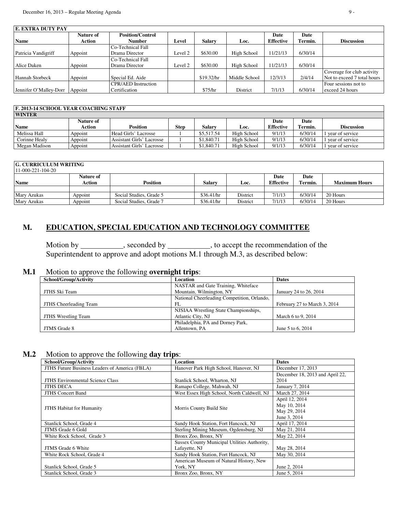| <b>E. EXTRA DUTY PAY</b> |                     |                                          |         |               |               |                   |                 |                             |
|--------------------------|---------------------|------------------------------------------|---------|---------------|---------------|-------------------|-----------------|-----------------------------|
| <b>Name</b>              | Nature of<br>Action | <b>Position/Control</b><br><b>Number</b> | Level   | <b>Salary</b> | Loc.          | Date<br>Effective | Date<br>Termin. | <b>Discussion</b>           |
|                          |                     | Co-Technical Fall                        |         |               |               |                   |                 |                             |
| Patricia Vandigriff      | Appoint             | Drama Director                           | Level 2 | \$630.00      | High School   | 11/21/13          | 6/30/14         |                             |
|                          |                     | Co-Technical Fall                        |         |               |               |                   |                 |                             |
| Alice Daken              | Appoint             | Drama Director                           | Level 2 | \$630.00      | High School   | 11/21/13          | 6/30/14         |                             |
|                          |                     |                                          |         |               |               |                   |                 | Coverage for club activity  |
| <b>Hannah Storbeck</b>   | Appoint             | Special Ed. Aide                         |         | \$19.32/hr    | Middle School | 12/3/13           | 2/4/14          | Not to exceed 7 total hours |
|                          |                     | <b>CPR/AED</b> Instruction               |         |               |               |                   |                 | Four sessions not to        |
| Jennifer O'Malley-Dorr   | Appoint             | Certification                            |         | \$75/hr       | District      | 7/1/13            | 6/30/14         | exceed 24 hours             |

| <b>F. 2013-14 SCHOOL YEAR COACHING STAFF</b> |           |                           |      |            |             |                  |         |                 |
|----------------------------------------------|-----------|---------------------------|------|------------|-------------|------------------|---------|-----------------|
| <b>WINTER</b>                                |           |                           |      |            |             |                  |         |                 |
|                                              | Nature of |                           |      |            |             | Date             | Date    |                 |
| <b>Name</b>                                  | Action    | <b>Position</b>           | Step | Salarv     | Loc.        | <b>Effective</b> | Termin. | Discussion      |
| Melissa Hall                                 | Appoint   | Head Girls' Lacrosse      |      | \$5,517.54 | High School | 9/1/13           | 6/30/14 | vear of service |
| Corinne Healy                                | Appoint   | Assistant Girls' Lacrosse |      | \$1,840.71 | High School | 9/1/13           | 6/30/14 | vear of service |
| Megan Madison                                | Appoint   | Assistant Girls' Lacrosse |      | \$1,840.71 | High School | 9/1/13           | 6/30/14 | vear of service |

#### **G. CURRICULUM WRITING**

| $11-000-221-104-20$ |                            |                         |               |          |                          |                 |                      |  |
|---------------------|----------------------------|-------------------------|---------------|----------|--------------------------|-----------------|----------------------|--|
| <b>Name</b>         | <b>Nature of</b><br>Action | Position                | <b>Salary</b> | Loc.     | Date<br><b>Effective</b> | Date<br>Termin. | <b>Maximum Hours</b> |  |
|                     |                            |                         |               |          |                          |                 |                      |  |
| Mary Azukas         | Appoint                    | Social Studies, Grade 5 | \$36.41/hr    | District | 7/1/13                   | 6/30/14         | 20 Hours             |  |
| Mary Azukas         | Appoint                    | Social Studies, Grade 7 | \$36.41/hr    | District | 7/1/13                   | 6/30/14         | 20 Hours             |  |

# **M. EDUCATION, SPECIAL EDUCATION AND TECHNOLOGY COMMITTEE**

Motion by \_\_\_\_\_\_\_\_\_, seconded by \_\_\_\_\_\_\_\_\_, to accept the recommendation of the Superintendent to approve and adopt motions M.1 through M.3, as described below:

## **M.1** Motion to approve the following **overnight trips**:

| School/Group/Activity      | Location                                    | <b>Dates</b>                 |
|----------------------------|---------------------------------------------|------------------------------|
|                            | NASTAR and Gate Training, Whiteface         |                              |
| JTHS Ski Team              | Mountain, Wilmington, NY                    | January 24 to 26, 2014       |
|                            | National Cheerleading Competition, Orlando, |                              |
| JTHS Cheerleading Team     | FL                                          | February 27 to March 3, 2014 |
|                            | NJSIAA Wrestling State Championships,       |                              |
| <b>JTHS</b> Wrestling Team | Atlantic City, NJ                           | March 6 to 9, 2014           |
|                            | Philadelphia, PA and Dorney Park,           |                              |
| <b>JTMS</b> Grade 8        | Allentown, PA                               | June 5 to 6, 2014            |

## **M.2** Motion to approve the following **day trips**:

| School/Group/Activity                          | <b>Location</b>                              | <b>Dates</b>                    |  |  |  |
|------------------------------------------------|----------------------------------------------|---------------------------------|--|--|--|
| JTHS Future Business Leaders of America (FBLA) | Hanover Park High School, Hanover, NJ        | December 17, 2013               |  |  |  |
|                                                |                                              | December 18, 2013 and April 22, |  |  |  |
| <b>JTHS Environmental Science Class</b>        | Stanlick School, Wharton, NJ                 | 2014                            |  |  |  |
| <b>JTHS DECA</b>                               | Ramapo College, Mahwah, NJ                   | January 7, 2014                 |  |  |  |
| <b>JTHS Concert Band</b>                       | West Essex High School, North Caldwell, NJ   | March 27, 2014                  |  |  |  |
|                                                |                                              | April 12, 2014                  |  |  |  |
| <b>JTHS Habitat for Humanity</b>               | Morris County Build Site                     | May 10, 2014                    |  |  |  |
|                                                |                                              | May 29, 2014                    |  |  |  |
|                                                |                                              | June 3, 2014                    |  |  |  |
| Stanlick School, Grade 4                       | Sandy Hook Station, Fort Hancock, NJ         | April 17, 2014                  |  |  |  |
| JTMS Grade 6 Gold                              | Sterling Mining Museum, Ogdensburg, NJ       | May 21, 2014                    |  |  |  |
| White Rock School, Grade 3                     | Bronx Zoo, Bronx, NY                         | May 22, 2014                    |  |  |  |
|                                                | Sussex County Municipal Utilities Authority, |                                 |  |  |  |
| <b>JTMS</b> Grade 6 White                      | Lafayette, NJ                                | May 28, 2014                    |  |  |  |
| White Rock School, Grade 4                     | Sandy Hook Station, Fort Hancock, NJ         | May 30, 2014                    |  |  |  |
|                                                | American Museum of Natural History, New      |                                 |  |  |  |
| Stanlick School, Grade 5                       | York, NY                                     | June 2, 2014                    |  |  |  |
| Stanlick School, Grade 3                       | Bronx Zoo, Bronx, NY                         | June 5, 2014                    |  |  |  |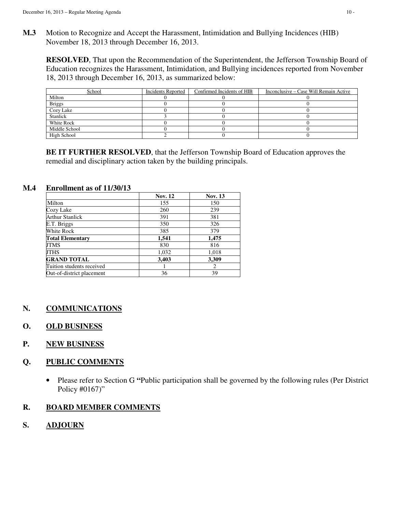**M.3** Motion to Recognize and Accept the Harassment, Intimidation and Bullying Incidences (HIB) November 18, 2013 through December 16, 2013.

**RESOLVED**, That upon the Recommendation of the Superintendent, the Jefferson Township Board of Education recognizes the Harassment, Intimidation, and Bullying incidences reported from November 18, 2013 through December 16, 2013, as summarized below:

| School              | Incidents Reported | Confirmed Incidents of HIB | Inconclusive – Case Will Remain Active |
|---------------------|--------------------|----------------------------|----------------------------------------|
| Milton              |                    |                            |                                        |
| Briggs<br>Cozy Lake |                    |                            |                                        |
|                     |                    |                            |                                        |
| <b>Stanlick</b>     |                    |                            |                                        |
| White Rock          |                    |                            |                                        |
| Middle School       |                    |                            |                                        |
| High School         |                    |                            |                                        |

**BE IT FURTHER RESOLVED**, that the Jefferson Township Board of Education approves the remedial and disciplinary action taken by the building principals.

## **M.4 Enrollment as of 11/30/13**

|                           | <b>Nov. 12</b> | Nov. 13 |
|---------------------------|----------------|---------|
| Milton                    | 155            | 150     |
| Cozy Lake                 | 260            | 239     |
| <b>Arthur Stanlick</b>    | 391            | 381     |
| E.T. Briggs               | 350            | 326     |
| White Rock                | 385            | 379     |
| <b>Total Elementary</b>   | 1,541          | 1,475   |
| JTMS                      | 830            | 816     |
| <b>JTHS</b>               | 1,032          | 1,018   |
| <b>GRAND TOTAL</b>        | 3,403          | 3,309   |
| Tuition students received |                | 2       |
| Out-of-district placement | 36             | 39      |

# **N. COMMUNICATIONS**

## **O. OLD BUSINESS**

**P. NEW BUSINESS** 

## **Q. PUBLIC COMMENTS**

• Please refer to Section G **"**Public participation shall be governed by the following rules (Per District Policy #0167)"

## **R. BOARD MEMBER COMMENTS**

**S. ADJOURN**